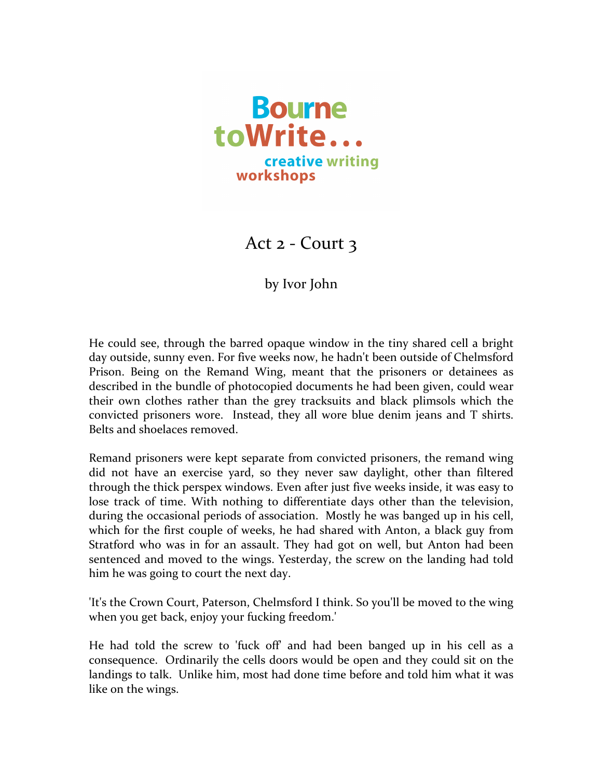

Act  $2$  - Court  $3$ 

## by Ivor John

He could see, through the barred opaque window in the tiny shared cell a bright day outside, sunny even. For five weeks now, he hadn't been outside of Chelmsford Prison. Being on the Remand Wing, meant that the prisoners or detainees as described in the bundle of photocopied documents he had been given, could wear their own clothes rather than the grey tracksuits and black plimsols which the convicted prisoners wore. Instead, they all wore blue denim jeans and T shirts. Belts and shoelaces removed.

Remand prisoners were kept separate from convicted prisoners, the remand wing did not have an exercise yard, so they never saw daylight, other than filtered through the thick perspex windows. Even after just five weeks inside, it was easy to lose track of time. With nothing to differentiate days other than the television, during the occasional periods of association. Mostly he was banged up in his cell, which for the first couple of weeks, he had shared with Anton, a black guy from Stratford who was in for an assault. They had got on well, but Anton had been sentenced and moved to the wings. Yesterday, the screw on the landing had told him he was going to court the next day.

'It's the Crown Court, Paterson, Chelmsford I think. So you'll be moved to the wing when you get back, enjoy your fucking freedom.'

He had told the screw to 'fuck off' and had been banged up in his cell as a consequence. Ordinarily the cells doors would be open and they could sit on the landings to talk. Unlike him, most had done time before and told him what it was like on the wings.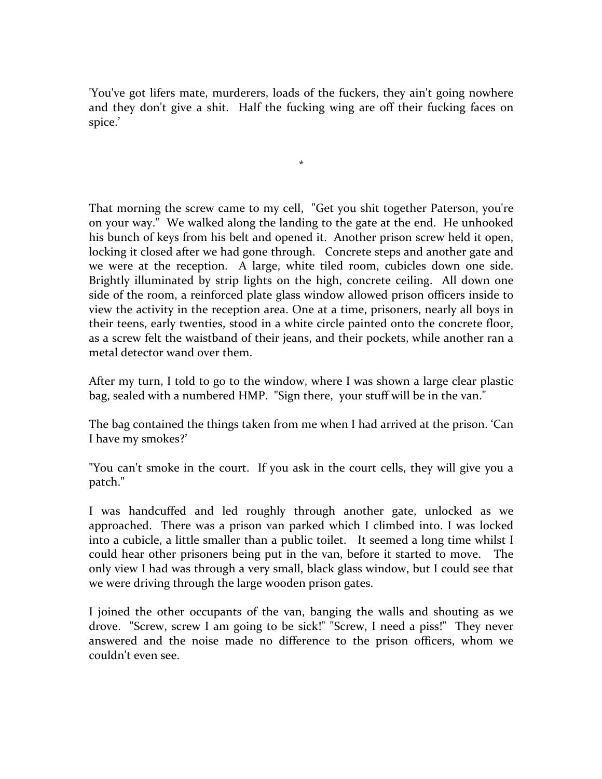'You've got lifers mate, murderers, loads of the fuckers, they ain't going nowhere and they don't give a shit. Half the fucking wing are off their fucking faces on spice.'

\*

That morning the screw came to my cell, "Get you shit together Paterson, you're on your way." We walked along the landing to the gate at the end. He unhooked his bunch of keys from his belt and opened it. Another prison screw held it open, locking it closed after we had gone through. Concrete steps and another gate and we were at the reception. A large, white tiled room, cubicles down one side. Brightly illuminated by strip lights on the high, concrete ceiling. All down one side of the room, a reinforced plate glass window allowed prison officers inside to view the activity in the reception area. One at a time, prisoners, nearly all boys in their teens, early twenties, stood in a white circle painted onto the concrete floor, as a screw felt the waistband of their jeans, and their pockets, while another ran a metal detector wand over them.

After my turn, I told to go to the window, where I was shown a large clear plastic bag, sealed with a numbered HMP. "Sign there, your stuff will be in the van."

The bag contained the things taken from me when I had arrived at the prison. 'Can I have my smokes?'

"You can't smoke in the court. If you ask in the court cells, they will give you a patch." 

I was handcuffed and led roughly through another gate, unlocked as we approached. There was a prison van parked which I climbed into. I was locked into a cubicle, a little smaller than a public toilet. It seemed a long time whilst I could hear other prisoners being put in the van, before it started to move. The only view I had was through a very small, black glass window, but I could see that we were driving through the large wooden prison gates.

I joined the other occupants of the van, banging the walls and shouting as we drove. "Screw, screw I am going to be sick!" "Screw, I need a piss!" They never answered and the noise made no difference to the prison officers, whom we couldn't even see.